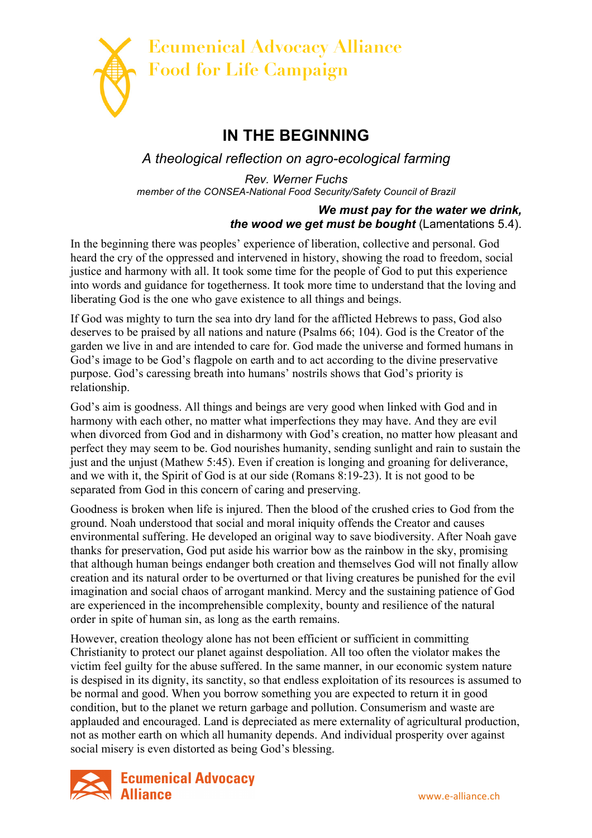

## **IN THE BEGINNING**

*A theological reflection on agro-ecological farming*

*Rev. Werner Fuchs member of the CONSEA-National Food Security/Safety Council of Brazil*

## *We must pay for the water we drink, the wood we get must be bought* (Lamentations 5.4).

In the beginning there was peoples' experience of liberation, collective and personal. God heard the cry of the oppressed and intervened in history, showing the road to freedom, social justice and harmony with all. It took some time for the people of God to put this experience into words and guidance for togetherness. It took more time to understand that the loving and liberating God is the one who gave existence to all things and beings.

If God was mighty to turn the sea into dry land for the afflicted Hebrews to pass, God also deserves to be praised by all nations and nature (Psalms 66; 104). God is the Creator of the garden we live in and are intended to care for. God made the universe and formed humans in God's image to be God's flagpole on earth and to act according to the divine preservative purpose. God's caressing breath into humans' nostrils shows that God's priority is relationship.

God's aim is goodness. All things and beings are very good when linked with God and in harmony with each other, no matter what imperfections they may have. And they are evil when divorced from God and in disharmony with God's creation, no matter how pleasant and perfect they may seem to be. God nourishes humanity, sending sunlight and rain to sustain the just and the unjust (Mathew 5:45). Even if creation is longing and groaning for deliverance, and we with it, the Spirit of God is at our side (Romans 8:19-23). It is not good to be separated from God in this concern of caring and preserving.

Goodness is broken when life is injured. Then the blood of the crushed cries to God from the ground. Noah understood that social and moral iniquity offends the Creator and causes environmental suffering. He developed an original way to save biodiversity. After Noah gave thanks for preservation, God put aside his warrior bow as the rainbow in the sky, promising that although human beings endanger both creation and themselves God will not finally allow creation and its natural order to be overturned or that living creatures be punished for the evil imagination and social chaos of arrogant mankind. Mercy and the sustaining patience of God are experienced in the incomprehensible complexity, bounty and resilience of the natural order in spite of human sin, as long as the earth remains.

However, creation theology alone has not been efficient or sufficient in committing Christianity to protect our planet against despoliation. All too often the violator makes the victim feel guilty for the abuse suffered. In the same manner, in our economic system nature is despised in its dignity, its sanctity, so that endless exploitation of its resources is assumed to be normal and good. When you borrow something you are expected to return it in good condition, but to the planet we return garbage and pollution. Consumerism and waste are applauded and encouraged. Land is depreciated as mere externality of agricultural production, not as mother earth on which all humanity depends. And individual prosperity over against social misery is even distorted as being God's blessing.